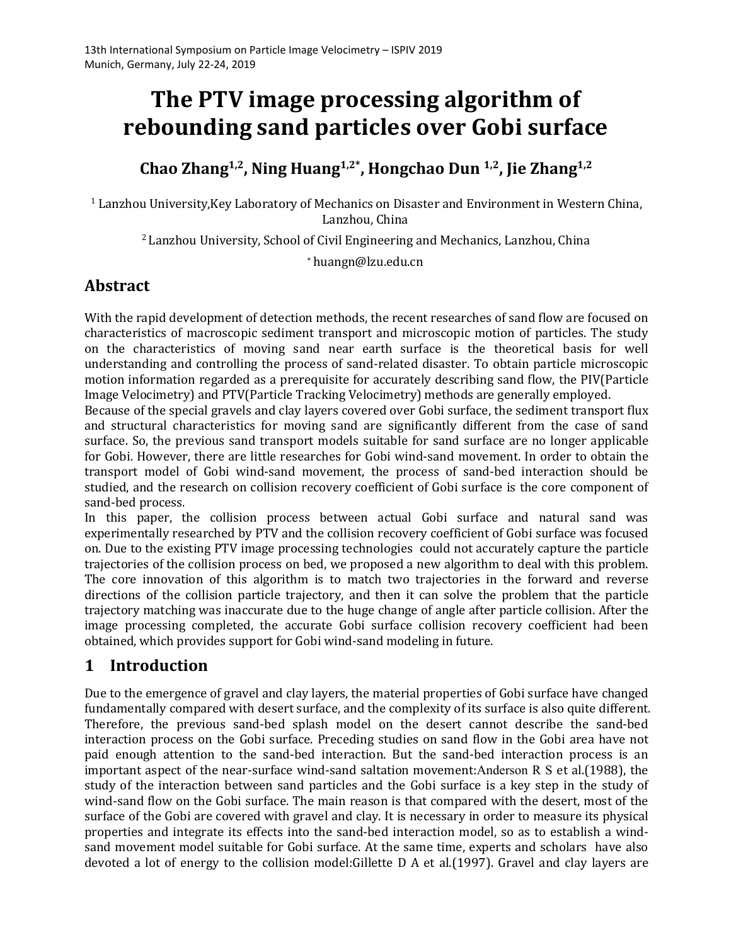# **The PTV image processing algorithm of rebounding sand particles over Gobi surface**

# **Chao Zhang 1,2 , Ning Huang 1,2\* , Hongchao Dun 1,2 , Jie Zhang 1,2**

 $^1$  Lanzhou University,Key Laboratory of Mechanics on Disaster and Environment in Western China,<br>Lanzhou, China

<sup>2</sup> Lanzhou University, School of Civil Engineering and Mechanics, Lanzhou, China

<sup>∗</sup>[huangn@lzu.edu.cn](mailto:huangn@lzu.edu.cn)

## **Abstract**

With the rapid development of detection methods, the recent researches of sand flow are focused on characteristics of macroscopic sediment transport and microscopic motion of particles. The study on the characteristics of moving sand near earth surface is the theoretical basis for well understanding and controlling the process of sand-related disaster. To obtain particle microscopic motion information regarded as a prerequisite for accurately describing sand flow, the PIV(Particle Image Velocimetry) and PTV(Particle Tracking Velocimetry) methods are generally employed.

Because of the special gravels and clay layers covered over Gobi surface, the sediment transport flux and structural characteristics for moving sand are significantly different from the case of sand surface. So, the previous sand transport models suitable for sand surface are no longer applicable for Gobi. However, there are little researches for Gobi wind-sand movement. In order to obtain the transport model of Gobi wind-sand movement, the process of sand-bed interaction should be studied, and the research on collision recovery coefficient of Gobi surface is the core component of sand-bed process.

In this paper, the collision process between actual Gobi surface and natural sand was experimentally researched by PTV and the collision recovery coefficient of Gobi surface was focused on. Due to the existing PTV image processing technologies could not accurately capture the particle trajectories of the collision process on bed, we proposed a new algorithm to deal with this problem. The core innovation of this algorithm is to match two trajectories in the forward and reverse directions of the collision particle trajectory, and then it can solve the problem that the particle trajectory matching was inaccurate due to the huge change of angle after particle collision. After the image processing completed, the accurate Gobi surface collision recovery coefficient had been obtained, which provides support for Gobi wind-sand modeling in future.

# **1 Introduction**

Due to the emergence of gravel and clay layers, the material properties of Gobi surface have changed fundamentally compared with desert surface, and the complexity of its surface is also quite different. Therefore, the previous sand-bed splash model on the desert cannot describe the sand-bed interaction process on the Gobi surface. Preceding studies on sand flow in the Gobi area have not paid enough attention to the sand-bed interaction. But the sand-bed interaction process is an important aspect of the near-surface wind-sand saltation movement:Anderson R S etal.(1988), the study of the interaction between sand particles and the Gobi surface is a key step in the study of wind-sand flow on the Gobi surface. The main reason is that compared with the desert, most of the surface of the Gobi are covered with gravel and clay. It is necessary in order to measure its physical properties and integrate its effects into the sand-bed interaction model, so as to establish a wind sand movement model suitable for Gobi surface. At the same time, experts and scholars have also devoted a lot of energy to the collision model:Gillette D A et al.(1997). Gravel and clay layers are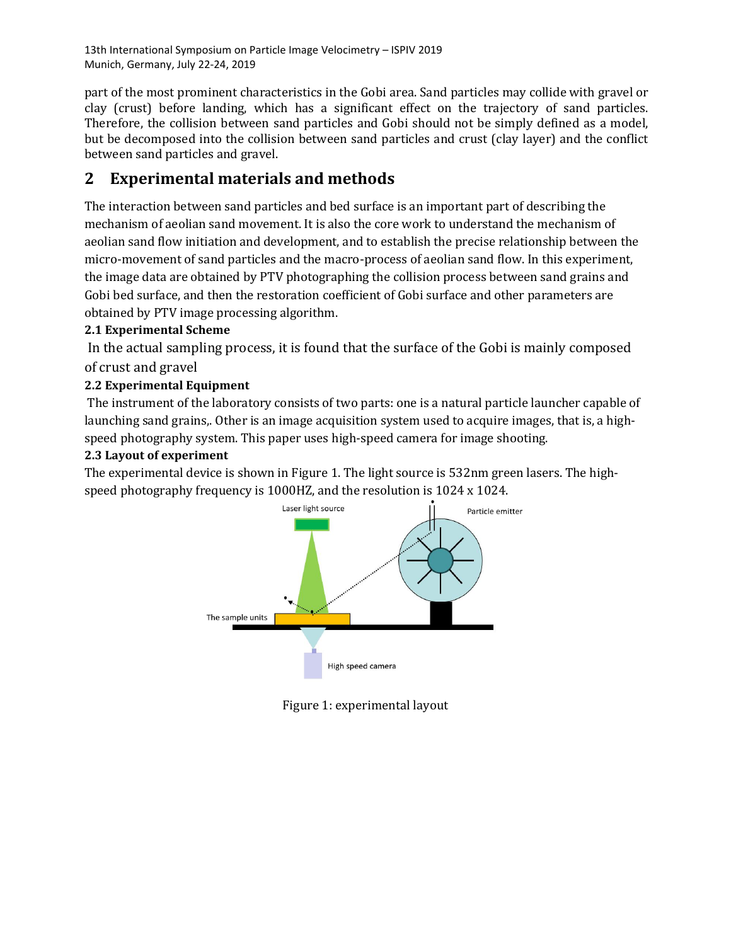13th International Symposium on Particle Image Velocimetry – ISPIV 2019 Munich, Germany, July 22-24, 2019

part of the most prominent characteristics in the Gobi area. Sand particles may collide with gravel or clay (crust) before landing, which has a significant effect on the trajectory of sand particles. Therefore, the collision between sand particles and Gobi should not be simply defined as a model, but be decomposed into the collision between sand particles and crust (clay layer) and the conflict between sand particles and gravel.

# **2 Experimental materials and methods**

The interaction between sand particles and bed surface is an important part of describing the mechanism of aeolian sand movement. It is also the core work to understand the mechanism of aeolian sand flow initiation and development, and to establish the precise relationship between the micro-movement of sand particles and the macro-process of aeolian sand flow. In this experiment, the image data are obtained by PTV photographing the collision process between sand grains and Gobi bed surface, and then the restoration coefficient of Gobi surface and other parameters are obtained by PTV image processing algorithm.

#### **2.1 Experimental Scheme**

In the actual sampling process, it is found that the surface of the Gobi is mainly composed of crust and gravel

#### **2.2 Experimental Equipment**

The instrument of the laboratory consists of two parts: one is a natural particle launcher capable of launching sand grains,. Other is an image acquisition system used to acquire images, that is, a highspeed photography system. This paper uses high-speed camera forimage shooting.

#### **2.3 Layout of experiment**

The experimental device is shown in Figure 1. The light source is 532nm green lasers. The high speed photography frequency is 1000HZ, and the resolution is 1024 x 1024.



Figure 1: experimental layout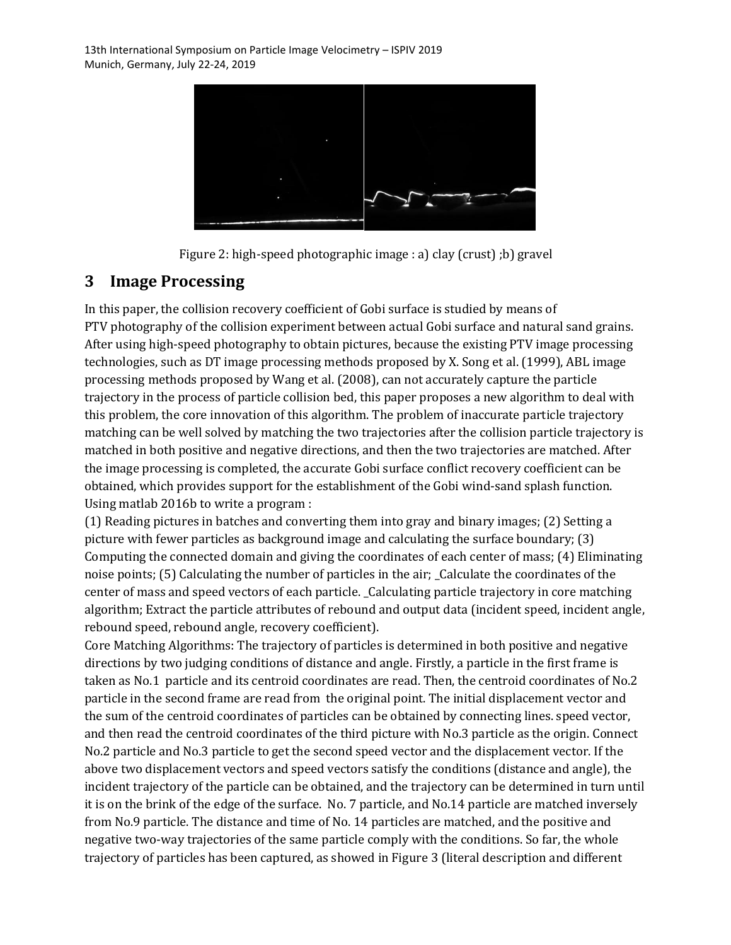

Figure 2: high-speed photographic image : a) clay (crust) ;b) gravel

## **3 Image Processing**

In this paper, the collision recovery coefficient of Gobi surface is studied by means of PTV photography of the collision experiment between actual Gobi surface and natural sand grains. After using high-speed photography to obtain pictures, because the existing PTV image processing technologies, such as DT image processing methods proposed by X. Song et al. (1999), ABL image processing methods proposed by Wang et al. (2008), can not accurately capture the particle trajectory in the process of particle collision bed, this paper proposes a new algorithm to deal with this problem, the core innovation of this algorithm. The problem of inaccurate particle trajectory matching can be well solved by matching the two trajectories after the collision particle trajectory is matched in both positive and negative directions, and then the two trajectories are matched. After the image processing is completed, the accurate Gobi surface conflict recovery coefficient can be obtained, which provides support for the establishment of the Gobi wind-sand splash function. Using matlab 2016b to write a program :

(1) Reading pictures in batches and converting them into gray and binary images; (2) Setting a picture with fewer particles as background image and calculating the surface boundary; (3) Computing the connected domain and giving the coordinates of each center of mass; (4) Eliminating noise points; (5) Calculating the number of particles in the air; \_Calculate the coordinates of the center of mass and speed vectors of each particle. \_Calculating particle trajectory in core matching algorithm; Extract the particle attributes of rebound and output data (incident speed, incident angle, rebound speed, rebound angle, recovery coefficient).

Core Matching Algorithms: The trajectory of particles is determined in both positive and negative directions by two judging conditions of distance and angle. Firstly, a particle in the first frame is taken as No.1 particle and its centroid coordinates are read. Then, the centroid coordinates of No.2 particle in the second frame are read from the original point. The initial displacement vector and the sum of the centroid coordinates of particles can be obtained by connecting lines. speed vector, and then read the centroid coordinates of the third picture with No.3 particle as the origin. Connect No.2 particle and No.3 particle to get the second speed vector and the displacement vector. If the above two displacement vectors and speed vectors satisfy the conditions (distance and angle), the incident trajectory of the particle can be obtained, and the trajectory can be determined in turn until it is on the brink of the edge of the surface. No.7 particle, and No.14 particle are matched inversely from No.9 particle. The distance and time of No. 14 particles are matched, and the positive and negative two-way trajectories of the same particle comply with the conditions. So far, the whole trajectory of particles has been captured, as showed in Figure 3 (literal description and different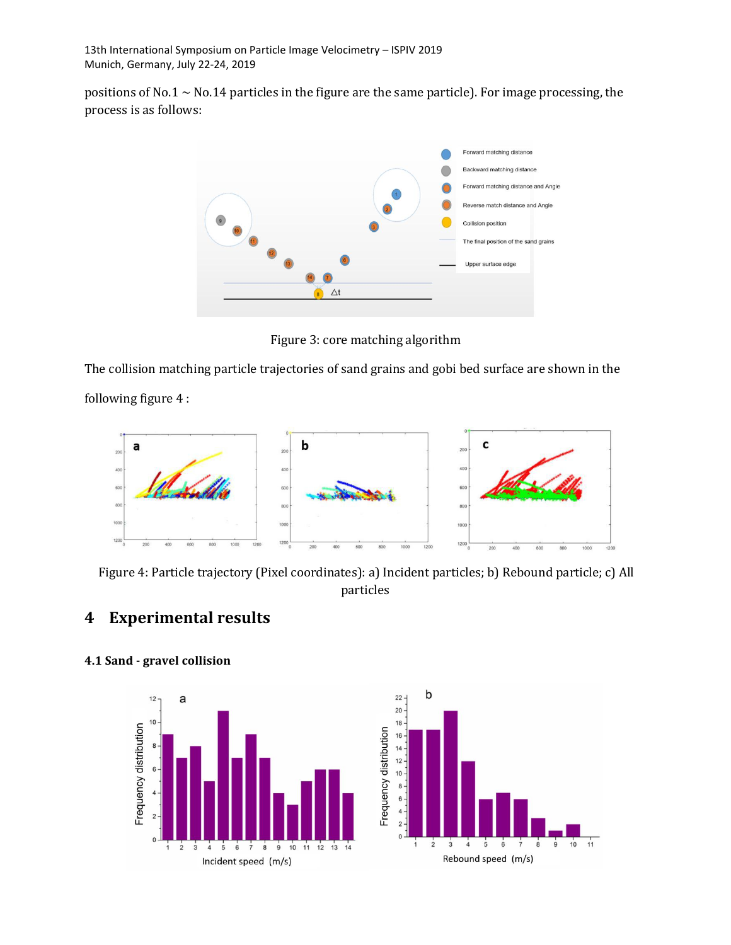positions of No.1  $\sim$  No.14 particles in the figure are the same particle). For image processing, the process is as follows:



Figure 3: core matching algorithm

The collision matching particle trajectories of sand grains and gobi bed surface are shown in the

following figure 4 :



Figure 4: Particle trajectory (Pixel coordinates): a) Incident particles; b) Rebound particle; c) All particles

# **4 Experimental results**



#### **4.1 Sand - gravel collision**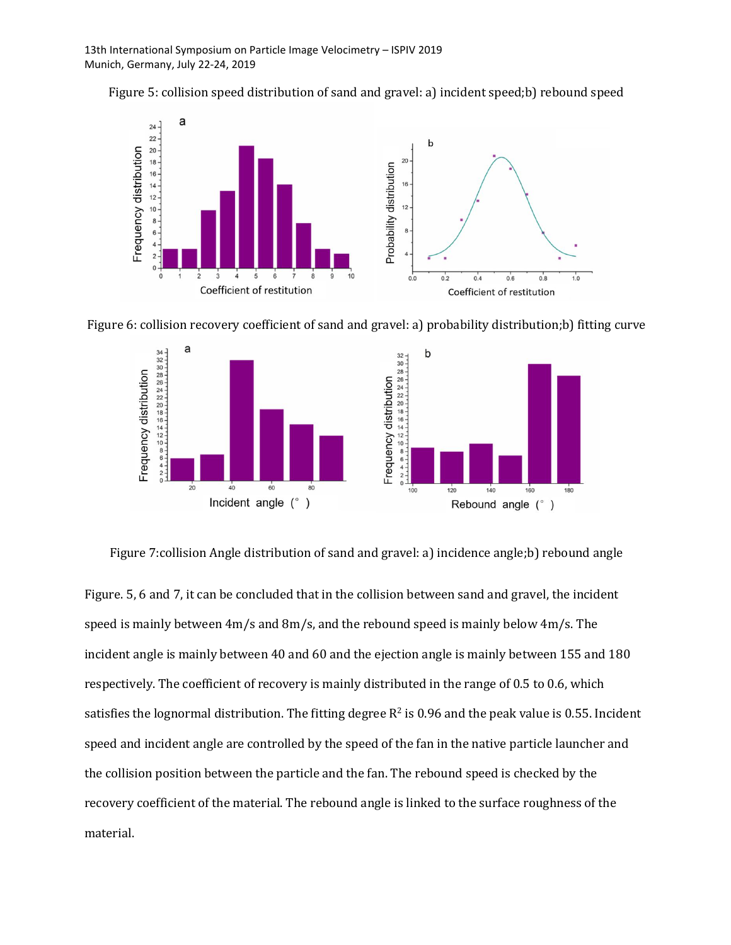







Figure 7:collision Angle distribution of sand and gravel: a) incidence angle;b) rebound angle

Figure. 5, 6 and 7, it can be concluded that in the collision between sand and gravel, the incident speed is mainly between  $4m/s$  and  $8m/s$ , and the rebound speed is mainly below  $4m/s$ . The incident angle is mainly between 40 and 60 and the ejection angle is mainly between 155 and 180 respectively. The coefficient of recovery is mainly distributed in the range of 0.5 to 0.6, which satisfies the lognormal distribution. The fitting degree  $\mathsf{R}^2$  is 0.96 and the peak value is 0.55. Incident speed and incident angle are controlled by the speed of the fan in the native particle launcher and the collision position between the particle and the fan. The rebound speed is checked by the recovery coefficient of the material. The rebound angle is linked to the surface roughness of the material.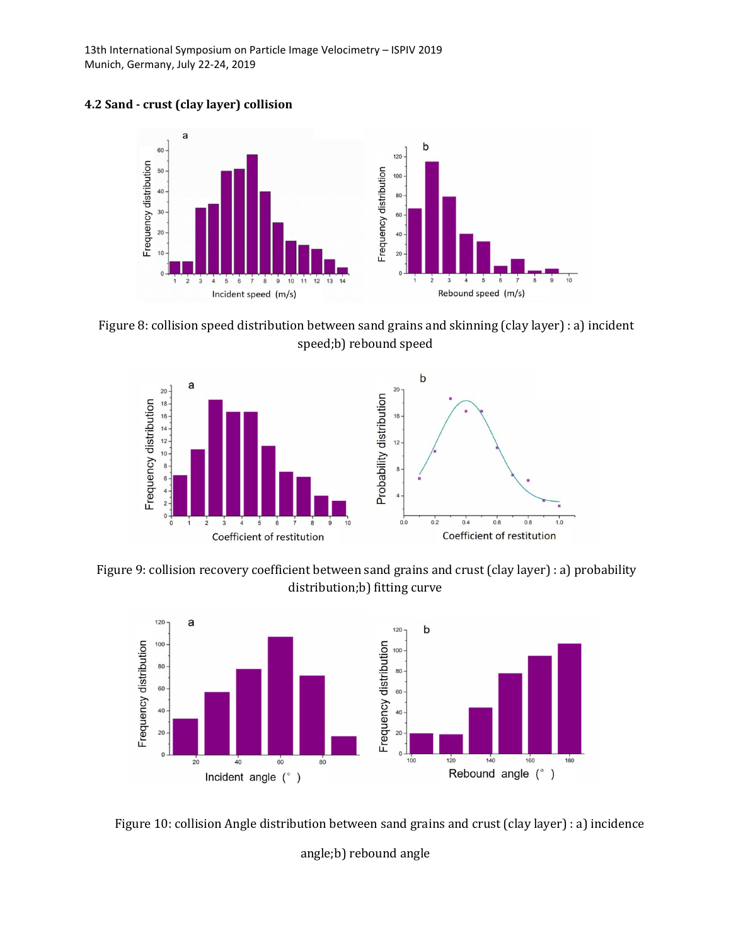13th International Symposium on Particle Image Velocimetry – ISPIV 2019 Munich, Germany, July 22-24, 2019





Figure 8: collision speed distribution between sand grains and skinning (clay layer) : a) incident speed;b) rebound speed



Figure 9: collision recovery coefficient between sand grains and crust (clay layer) : a) probability distribution;b) fitting curve



Figure 10: collision Angle distribution between sand grains and crust (clay layer) : a) incidence angle;b) rebound angle